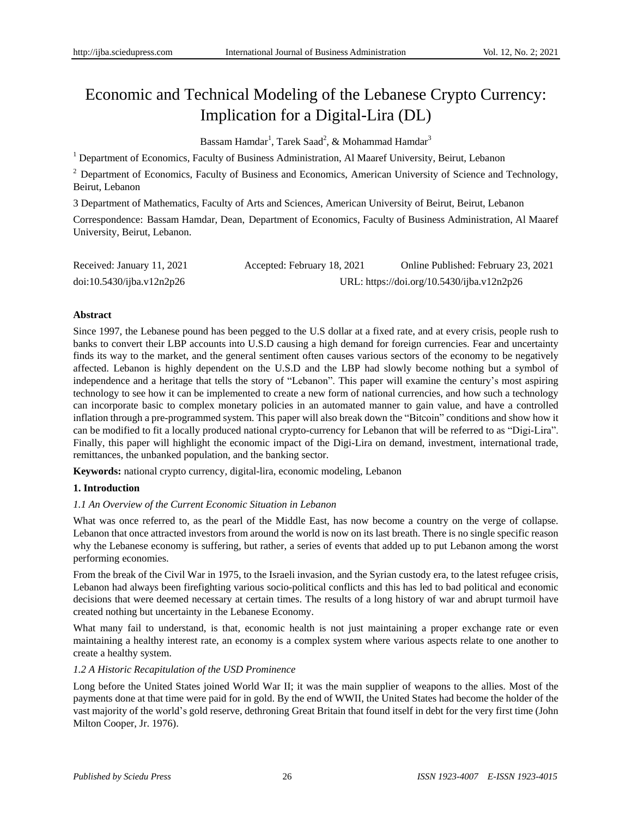# Economic and Technical Modeling of the Lebanese Crypto Currency: Implication for a Digital-Lira (DL)

Bassam Hamdar<sup>1</sup>, Tarek Saad<sup>2</sup>, & Mohammad Hamdar<sup>3</sup>

<sup>1</sup> Department of Economics, Faculty of Business Administration, Al Maaref University, Beirut, Lebanon

<sup>2</sup> Department of Economics, Faculty of Business and Economics, American University of Science and Technology, Beirut, Lebanon

3 Department of Mathematics, Faculty of Arts and Sciences, American University of Beirut, Beirut, Lebanon

Correspondence: Bassam Hamdar, Dean, Department of Economics, Faculty of Business Administration, Al Maaref University, Beirut, Lebanon.

| Received: January 11, 2021 | Accepted: February 18, 2021                | Online Published: February 23, 2021 |
|----------------------------|--------------------------------------------|-------------------------------------|
| doi:10.5430/ijba.v12n2p26  | URL: https://doi.org/10.5430/ijba.v12n2p26 |                                     |

## **Abstract**

Since 1997, the Lebanese pound has been pegged to the U.S dollar at a fixed rate, and at every crisis, people rush to banks to convert their LBP accounts into U.S.D causing a high demand for foreign currencies. Fear and uncertainty finds its way to the market, and the general sentiment often causes various sectors of the economy to be negatively affected. Lebanon is highly dependent on the U.S.D and the LBP had slowly become nothing but a symbol of independence and a heritage that tells the story of "Lebanon". This paper will examine the century's most aspiring technology to see how it can be implemented to create a new form of national currencies, and how such a technology can incorporate basic to complex monetary policies in an automated manner to gain value, and have a controlled inflation through a pre-programmed system. This paper will also break down the "Bitcoin" conditions and show how it can be modified to fit a locally produced national crypto-currency for Lebanon that will be referred to as "Digi-Lira". Finally, this paper will highlight the economic impact of the Digi-Lira on demand, investment, international trade, remittances, the unbanked population, and the banking sector.

**Keywords:** national crypto currency, digital-lira, economic modeling, Lebanon

## **1. Introduction**

## *1.1 An Overview of the Current Economic Situation in Lebanon*

What was once referred to, as the pearl of the Middle East, has now become a country on the verge of collapse. Lebanon that once attracted investors from around the world is now on its last breath. There is no single specific reason why the Lebanese economy is suffering, but rather, a series of events that added up to put Lebanon among the worst performing economies.

From the break of the Civil War in 1975, to the Israeli invasion, and the Syrian custody era, to the latest refugee crisis, Lebanon had always been firefighting various socio-political conflicts and this has led to bad political and economic decisions that were deemed necessary at certain times. The results of a long history of war and abrupt turmoil have created nothing but uncertainty in the Lebanese Economy.

What many fail to understand, is that, economic health is not just maintaining a proper exchange rate or even maintaining a healthy interest rate, an economy is a complex system where various aspects relate to one another to create a healthy system.

## *1.2 A Historic Recapitulation of the USD Prominence*

Long before the United States joined World War II; it was the main supplier of weapons to the allies. Most of the payments done at that time were paid for in gold. By the end of WWII, the United States had become the holder of the vast majority of the world's gold reserve, dethroning Great Britain that found itself in debt for the very first time (John Milton Cooper, Jr. 1976).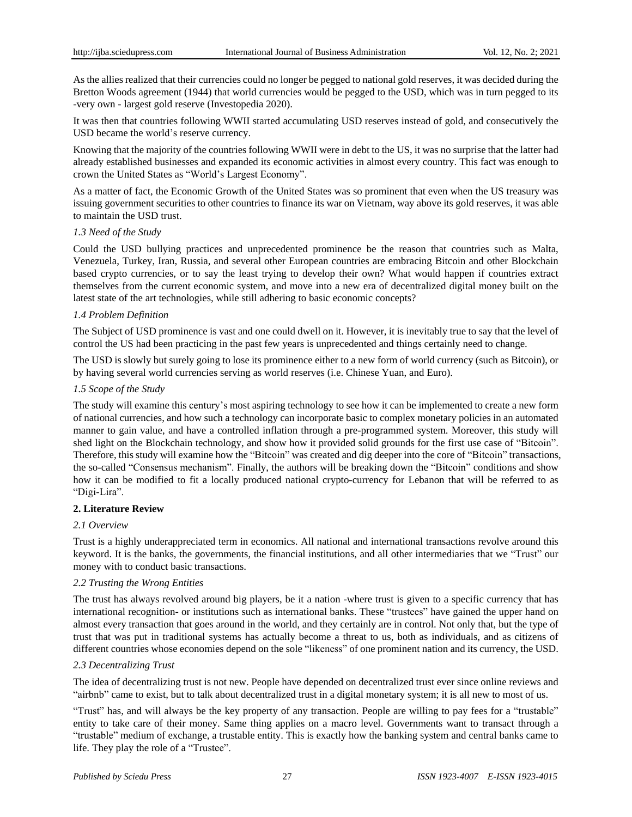As the allies realized that their currencies could no longer be pegged to national gold reserves, it was decided during the Bretton Woods agreement (1944) that world currencies would be pegged to the USD, which was in turn pegged to its -very own - largest gold reserve (Investopedia 2020).

It was then that countries following WWII started accumulating USD reserves instead of gold, and consecutively the USD became the world's reserve currency.

Knowing that the majority of the countries following WWII were in debt to the US, it was no surprise that the latter had already established businesses and expanded its economic activities in almost every country. This fact was enough to crown the United States as "World's Largest Economy".

As a matter of fact, the Economic Growth of the United States was so prominent that even when the US treasury was issuing government securities to other countries to finance its war on Vietnam, way above its gold reserves, it was able to maintain the USD trust.

## *1.3 Need of the Study*

Could the USD bullying practices and unprecedented prominence be the reason that countries such as Malta, Venezuela, Turkey, Iran, Russia, and several other European countries are embracing Bitcoin and other Blockchain based crypto currencies, or to say the least trying to develop their own? What would happen if countries extract themselves from the current economic system, and move into a new era of decentralized digital money built on the latest state of the art technologies, while still adhering to basic economic concepts?

## *1.4 Problem Definition*

The Subject of USD prominence is vast and one could dwell on it. However, it is inevitably true to say that the level of control the US had been practicing in the past few years is unprecedented and things certainly need to change.

The USD is slowly but surely going to lose its prominence either to a new form of world currency (such as Bitcoin), or by having several world currencies serving as world reserves (i.e. Chinese Yuan, and Euro).

## *1.5 Scope of the Study*

The study will examine this century's most aspiring technology to see how it can be implemented to create a new form of national currencies, and how such a technology can incorporate basic to complex monetary policies in an automated manner to gain value, and have a controlled inflation through a pre-programmed system. Moreover, this study will shed light on the Blockchain technology, and show how it provided solid grounds for the first use case of "Bitcoin". Therefore, this study will examine how the "Bitcoin" was created and dig deeper into the core of "Bitcoin" transactions, the so-called "Consensus mechanism". Finally, the authors will be breaking down the "Bitcoin" conditions and show how it can be modified to fit a locally produced national crypto-currency for Lebanon that will be referred to as "Digi-Lira".

## **2. Literature Review**

## *2.1 Overview*

Trust is a highly underappreciated term in economics. All national and international transactions revolve around this keyword. It is the banks, the governments, the financial institutions, and all other intermediaries that we "Trust" our money with to conduct basic transactions.

## *2.2 Trusting the Wrong Entities*

The trust has always revolved around big players, be it a nation -where trust is given to a specific currency that has international recognition- or institutions such as international banks. These "trustees" have gained the upper hand on almost every transaction that goes around in the world, and they certainly are in control. Not only that, but the type of trust that was put in traditional systems has actually become a threat to us, both as individuals, and as citizens of different countries whose economies depend on the sole "likeness" of one prominent nation and its currency, the USD.

## *2.3 Decentralizing Trust*

The idea of decentralizing trust is not new. People have depended on decentralized trust ever since online reviews and "airbnb" came to exist, but to talk about decentralized trust in a digital monetary system; it is all new to most of us.

"Trust" has, and will always be the key property of any transaction. People are willing to pay fees for a "trustable" entity to take care of their money. Same thing applies on a macro level. Governments want to transact through a "trustable" medium of exchange, a trustable entity. This is exactly how the banking system and central banks came to life. They play the role of a "Trustee".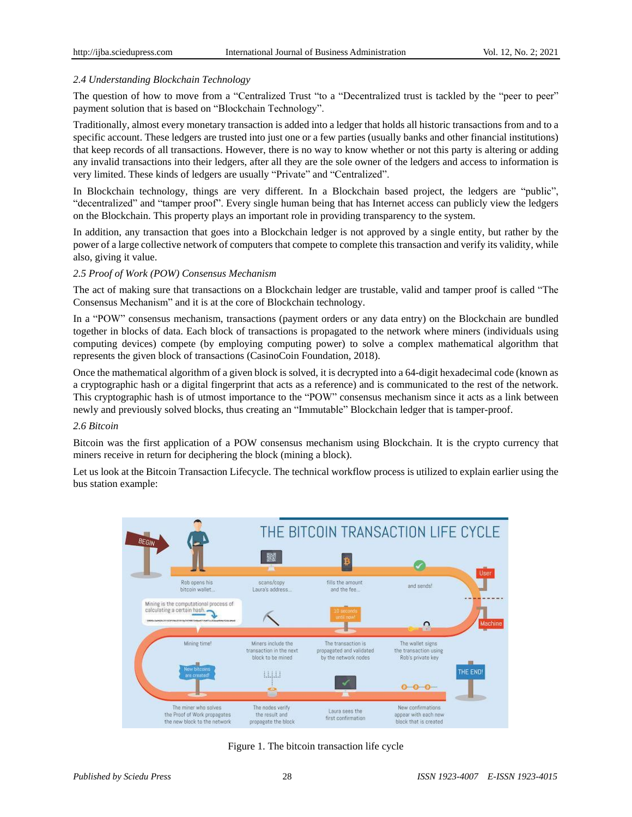# *2.4 Understanding Blockchain Technology*

The question of how to move from a "Centralized Trust "to a "Decentralized trust is tackled by the "peer to peer" payment solution that is based on "Blockchain Technology".

Traditionally, almost every monetary transaction is added into a ledger that holds all historic transactions from and to a specific account. These ledgers are trusted into just one or a few parties (usually banks and other financial institutions) that keep records of all transactions. However, there is no way to know whether or not this party is altering or adding any invalid transactions into their ledgers, after all they are the sole owner of the ledgers and access to information is very limited. These kinds of ledgers are usually "Private" and "Centralized".

In Blockchain technology, things are very different. In a Blockchain based project, the ledgers are "public", "decentralized" and "tamper proof". Every single human being that has Internet access can publicly view the ledgers on the Blockchain. This property plays an important role in providing transparency to the system.

In addition, any transaction that goes into a Blockchain ledger is not approved by a single entity, but rather by the power of a large collective network of computers that compete to complete this transaction and verify its validity, while also, giving it value.

## *2.5 Proof of Work (POW) Consensus Mechanism*

The act of making sure that transactions on a Blockchain ledger are trustable, valid and tamper proof is called "The Consensus Mechanism" and it is at the core of Blockchain technology.

In a "POW" consensus mechanism, transactions (payment orders or any data entry) on the Blockchain are bundled together in blocks of data. Each block of transactions is propagated to the network where miners (individuals using computing devices) compete (by employing computing power) to solve a complex mathematical algorithm that represents the given block of transactions (CasinoCoin Foundation, 2018).

Once the mathematical algorithm of a given block is solved, it is decrypted into a 64-digit hexadecimal code (known as a cryptographic hash or a digital fingerprint that acts as a reference) and is communicated to the rest of the network. This cryptographic hash is of utmost importance to the "POW" consensus mechanism since it acts as a link between newly and previously solved blocks, thus creating an "Immutable" Blockchain ledger that is tamper-proof.

## *2.6 Bitcoin*

Bitcoin was the first application of a POW consensus mechanism using Blockchain. It is the crypto currency that miners receive in return for deciphering the block (mining a block).

Let us look at the Bitcoin Transaction Lifecycle. The technical workflow process is utilized to explain earlier using the bus station example:



Figure 1. The bitcoin transaction life cycle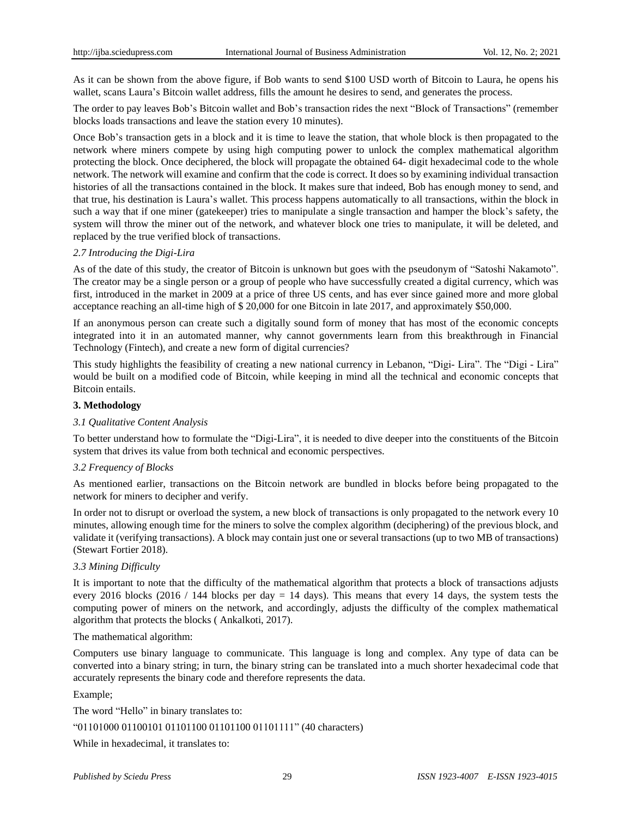As it can be shown from the above figure, if Bob wants to send \$100 USD worth of Bitcoin to Laura, he opens his wallet, scans Laura's Bitcoin wallet address, fills the amount he desires to send, and generates the process.

The order to pay leaves Bob's Bitcoin wallet and Bob's transaction rides the next "Block of Transactions" (remember blocks loads transactions and leave the station every 10 minutes).

Once Bob's transaction gets in a block and it is time to leave the station, that whole block is then propagated to the network where miners compete by using high computing power to unlock the complex mathematical algorithm protecting the block. Once deciphered, the block will propagate the obtained 64- digit hexadecimal code to the whole network. The network will examine and confirm that the code is correct. It does so by examining individual transaction histories of all the transactions contained in the block. It makes sure that indeed, Bob has enough money to send, and that true, his destination is Laura's wallet. This process happens automatically to all transactions, within the block in such a way that if one miner (gatekeeper) tries to manipulate a single transaction and hamper the block's safety, the system will throw the miner out of the network, and whatever block one tries to manipulate, it will be deleted, and replaced by the true verified block of transactions.

## *2.7 Introducing the Digi-Lira*

As of the date of this study, the creator of Bitcoin is unknown but goes with the pseudonym of "Satoshi Nakamoto". The creator may be a single person or a group of people who have successfully created a digital currency, which was first, introduced in the market in 2009 at a price of three US cents, and has ever since gained more and more global acceptance reaching an all-time high of \$ 20,000 for one Bitcoin in late 2017, and approximately \$50,000.

If an anonymous person can create such a digitally sound form of money that has most of the economic concepts integrated into it in an automated manner, why cannot governments learn from this breakthrough in Financial Technology (Fintech), and create a new form of digital currencies?

This study highlights the feasibility of creating a new national currency in Lebanon, "Digi- Lira". The "Digi - Lira" would be built on a modified code of Bitcoin, while keeping in mind all the technical and economic concepts that Bitcoin entails.

## **3. Methodology**

## *3.1 Qualitative Content Analysis*

To better understand how to formulate the "Digi-Lira", it is needed to dive deeper into the constituents of the Bitcoin system that drives its value from both technical and economic perspectives.

## *3.2 Frequency of Blocks*

As mentioned earlier, transactions on the Bitcoin network are bundled in blocks before being propagated to the network for miners to decipher and verify.

In order not to disrupt or overload the system, a new block of transactions is only propagated to the network every 10 minutes, allowing enough time for the miners to solve the complex algorithm (deciphering) of the previous block, and validate it (verifying transactions). A block may contain just one or several transactions (up to two MB of transactions) (Stewart Fortier 2018).

## *3.3 Mining Difficulty*

It is important to note that the difficulty of the mathematical algorithm that protects a block of transactions adjusts every 2016 blocks (2016 / 144 blocks per day  $= 14$  days). This means that every 14 days, the system tests the computing power of miners on the network, and accordingly, adjusts the difficulty of the complex mathematical algorithm that protects the blocks ( [Ankalkoti,](https://www.researchgate.net/profile/Prashant_Ankalkoti) 2017).

## The mathematical algorithm:

Computers use binary language to communicate. This language is long and complex. Any type of data can be converted into a binary string; in turn, the binary string can be translated into a much shorter hexadecimal code that accurately represents the binary code and therefore represents the data.

## Example;

The word "Hello" in binary translates to: "01101000 01100101 01101100 01101100 01101111" (40 characters)

While in hexadecimal, it translates to: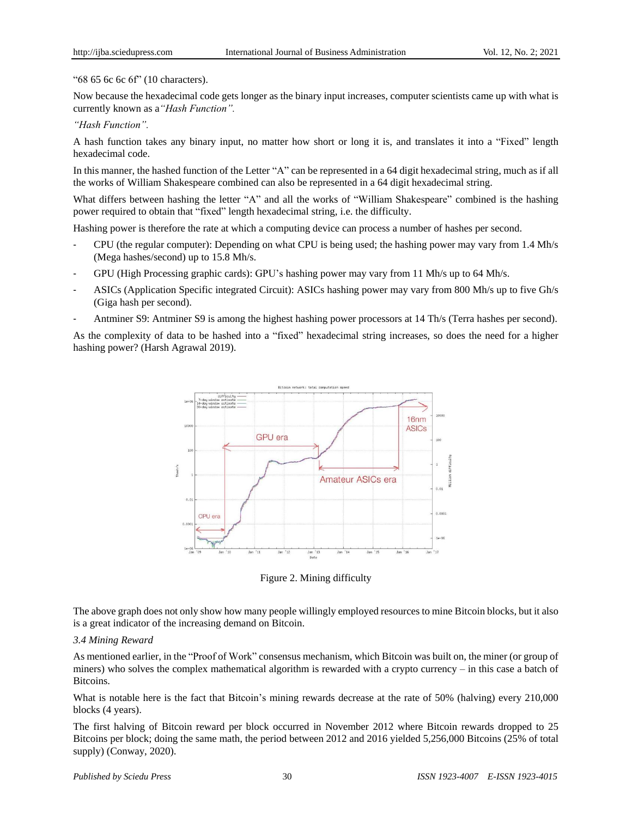"68 65 6c 6c 6f" (10 characters).

Now because the hexadecimal code gets longer as the binary input increases, computer scientists came up with what is currently known as a*"Hash Function".*

## *"Hash Function".*

A hash function takes any binary input, no matter how short or long it is, and translates it into a "Fixed" length hexadecimal code.

In this manner, the hashed function of the Letter "A" can be represented in a 64 digit hexadecimal string, much as if all the works of William Shakespeare combined can also be represented in a 64 digit hexadecimal string.

What differs between hashing the letter "A" and all the works of "William Shakespeare" combined is the hashing power required to obtain that "fixed" length hexadecimal string, i.e. the difficulty.

Hashing power is therefore the rate at which a computing device can process a number of hashes per second.

- CPU (the regular computer): Depending on what CPU is being used; the hashing power may vary from 1.4 Mh/s (Mega hashes/second) up to 15.8 Mh/s.
- GPU (High Processing graphic cards): GPU's hashing power may vary from 11 Mh/s up to 64 Mh/s.
- ASICs (Application Specific integrated Circuit): ASICs hashing power may vary from 800 Mh/s up to five Gh/s (Giga hash per second).
- Antminer S9: Antminer S9 is among the highest hashing power processors at 14 Th/s (Terra hashes per second).

As the complexity of data to be hashed into a "fixed" hexadecimal string increases, so does the need for a higher hashing power? (Harsh Agrawal 2019).



Figure 2. Mining difficulty

The above graph does not only show how many people willingly employed resources to mine Bitcoin blocks, but it also is a great indicator of the increasing demand on Bitcoin.

## *3.4 Mining Reward*

As mentioned earlier, in the "Proof of Work" consensus mechanism, which Bitcoin was built on, the miner (or group of miners) who solves the complex mathematical algorithm is rewarded with a crypto currency – in this case a batch of Bitcoins.

What is notable here is the fact that Bitcoin's mining rewards decrease at the rate of 50% (halving) every 210,000 blocks (4 years).

The first halving of Bitcoin reward per block occurred in November 2012 where Bitcoin rewards dropped to 25 Bitcoins per block; doing the same math, the period between 2012 and 2016 yielded 5,256,000 Bitcoins (25% of total supply) (Conway, 2020).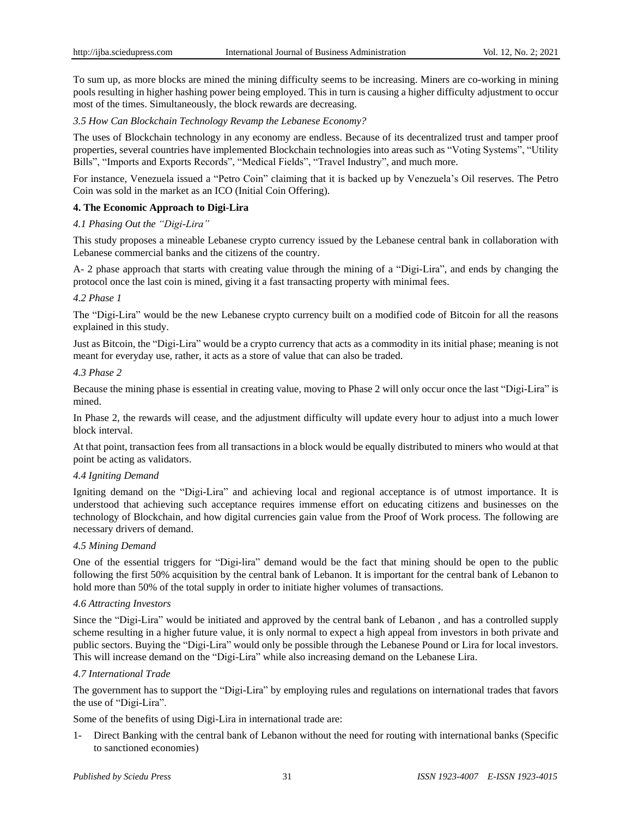To sum up, as more blocks are mined the mining difficulty seems to be increasing. Miners are co-working in mining pools resulting in higher hashing power being employed. This in turn is causing a higher difficulty adjustment to occur most of the times. Simultaneously, the block rewards are decreasing.

## *3.5 How Can Blockchain Technology Revamp the Lebanese Economy?*

The uses of Blockchain technology in any economy are endless. Because of its decentralized trust and tamper proof properties, several countries have implemented Blockchain technologies into areas such as "Voting Systems", "Utility Bills", "Imports and Exports Records", "Medical Fields", "Travel Industry", and much more.

For instance, Venezuela issued a "Petro Coin" claiming that it is backed up by Venezuela's Oil reserves. The Petro Coin was sold in the market as an ICO (Initial Coin Offering).

## **4. The Economic Approach to Digi-Lira**

## *4.1 Phasing Out the "Digi-Lira"*

This study proposes a mineable Lebanese crypto currency issued by the Lebanese central bank in collaboration with Lebanese commercial banks and the citizens of the country.

A- 2 phase approach that starts with creating value through the mining of a "Digi-Lira", and ends by changing the protocol once the last coin is mined, giving it a fast transacting property with minimal fees.

## *4.2 Phase 1*

The "Digi-Lira" would be the new Lebanese crypto currency built on a modified code of Bitcoin for all the reasons explained in this study.

Just as Bitcoin, the "Digi-Lira" would be a crypto currency that acts as a commodity in its initial phase; meaning is not meant for everyday use, rather, it acts as a store of value that can also be traded.

#### *4.3 Phase 2*

Because the mining phase is essential in creating value, moving to Phase 2 will only occur once the last "Digi-Lira" is mined.

In Phase 2, the rewards will cease, and the adjustment difficulty will update every hour to adjust into a much lower block interval.

At that point, transaction fees from all transactions in a block would be equally distributed to miners who would at that point be acting as validators.

## *4.4 Igniting Demand*

Igniting demand on the "Digi-Lira" and achieving local and regional acceptance is of utmost importance. It is understood that achieving such acceptance requires immense effort on educating citizens and businesses on the technology of Blockchain, and how digital currencies gain value from the Proof of Work process. The following are necessary drivers of demand.

## *4.5 Mining Demand*

One of the essential triggers for "Digi-lira" demand would be the fact that mining should be open to the public following the first 50% acquisition by the central bank of Lebanon. It is important for the central bank of Lebanon to hold more than 50% of the total supply in order to initiate higher volumes of transactions.

## *4.6 Attracting Investors*

Since the "Digi-Lira" would be initiated and approved by the central bank of Lebanon , and has a controlled supply scheme resulting in a higher future value, it is only normal to expect a high appeal from investors in both private and public sectors. Buying the "Digi-Lira" would only be possible through the Lebanese Pound or Lira for local investors. This will increase demand on the "Digi-Lira" while also increasing demand on the Lebanese Lira.

## *4.7 International Trade*

The government has to support the "Digi-Lira" by employing rules and regulations on international trades that favors the use of "Digi-Lira".

Some of the benefits of using Digi-Lira in international trade are:

Direct Banking with the central bank of Lebanon without the need for routing with international banks (Specific to sanctioned economies)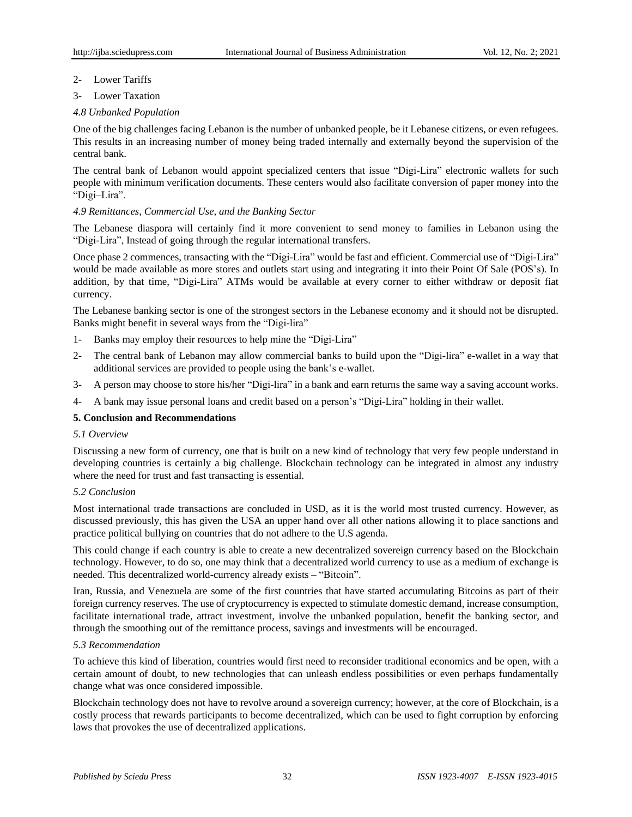- 2- Lower Tariffs
- 3- Lower Taxation

# *4.8 Unbanked Population*

One of the big challenges facing Lebanon is the number of unbanked people, be it Lebanese citizens, or even refugees. This results in an increasing number of money being traded internally and externally beyond the supervision of the central bank.

The central bank of Lebanon would appoint specialized centers that issue "Digi-Lira" electronic wallets for such people with minimum verification documents. These centers would also facilitate conversion of paper money into the "Digi–Lira".

# *4.9 Remittances, Commercial Use, and the Banking Sector*

The Lebanese diaspora will certainly find it more convenient to send money to families in Lebanon using the "Digi-Lira", Instead of going through the regular international transfers.

Once phase 2 commences, transacting with the "Digi-Lira" would be fast and efficient. Commercial use of "Digi-Lira" would be made available as more stores and outlets start using and integrating it into their Point Of Sale (POS's). In addition, by that time, "Digi-Lira" ATMs would be available at every corner to either withdraw or deposit fiat currency.

The Lebanese banking sector is one of the strongest sectors in the Lebanese economy and it should not be disrupted. Banks might benefit in several ways from the "Digi-lira"

- 1- Banks may employ their resources to help mine the "Digi-Lira"
- 2- The central bank of Lebanon may allow commercial banks to build upon the "Digi-lira" e-wallet in a way that additional services are provided to people using the bank's e-wallet.
- 3- A person may choose to store his/her "Digi-lira" in a bank and earn returns the same way a saving account works.
- 4- A bank may issue personal loans and credit based on a person's "Digi-Lira" holding in their wallet.

## **5. Conclusion and Recommendations**

# *5.1 Overview*

Discussing a new form of currency, one that is built on a new kind of technology that very few people understand in developing countries is certainly a big challenge. Blockchain technology can be integrated in almost any industry where the need for trust and fast transacting is essential.

## *5.2 Conclusion*

Most international trade transactions are concluded in USD, as it is the world most trusted currency. However, as discussed previously, this has given the USA an upper hand over all other nations allowing it to place sanctions and practice political bullying on countries that do not adhere to the U.S agenda.

This could change if each country is able to create a new decentralized sovereign currency based on the Blockchain technology. However, to do so, one may think that a decentralized world currency to use as a medium of exchange is needed. This decentralized world-currency already exists – "Bitcoin".

Iran, Russia, and Venezuela are some of the first countries that have started accumulating Bitcoins as part of their foreign currency reserves. The use of cryptocurrency is expected to stimulate domestic demand, increase consumption, facilitate international trade, attract investment, involve the unbanked population, benefit the banking sector, and through the smoothing out of the remittance process, savings and investments will be encouraged.

## *5.3 Recommendation*

To achieve this kind of liberation, countries would first need to reconsider traditional economics and be open, with a certain amount of doubt, to new technologies that can unleash endless possibilities or even perhaps fundamentally change what was once considered impossible.

Blockchain technology does not have to revolve around a sovereign currency; however, at the core of Blockchain, is a costly process that rewards participants to become decentralized, which can be used to fight corruption by enforcing laws that provokes the use of decentralized applications.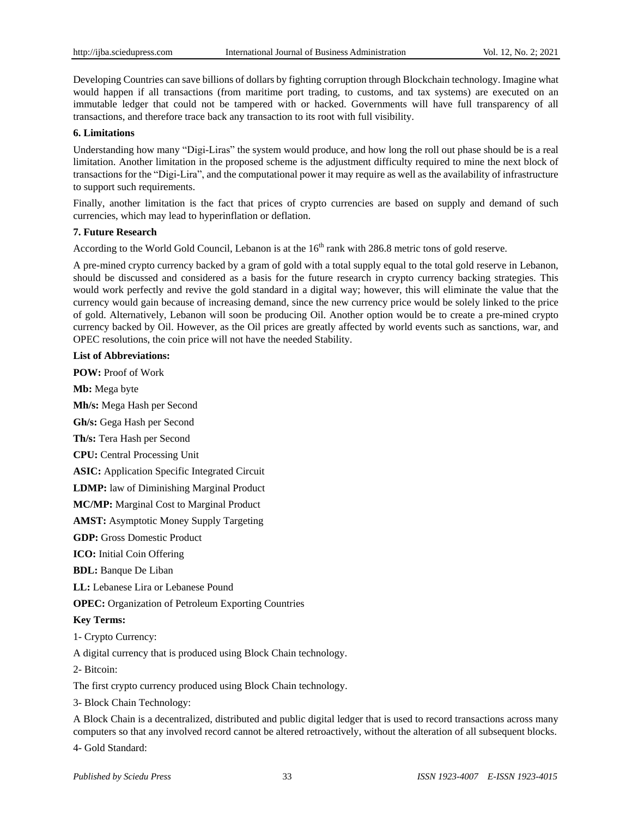Developing Countries can save billions of dollars by fighting corruption through Blockchain technology. Imagine what would happen if all transactions (from maritime port trading, to customs, and tax systems) are executed on an immutable ledger that could not be tampered with or hacked. Governments will have full transparency of all transactions, and therefore trace back any transaction to its root with full visibility.

## **6. Limitations**

Understanding how many "Digi-Liras" the system would produce, and how long the roll out phase should be is a real limitation. Another limitation in the proposed scheme is the adjustment difficulty required to mine the next block of transactions for the "Digi-Lira", and the computational power it may require as well as the availability of infrastructure to support such requirements.

Finally, another limitation is the fact that prices of crypto currencies are based on supply and demand of such currencies, which may lead to hyperinflation or deflation.

## **7. Future Research**

According to the World Gold Council, Lebanon is at the 16<sup>th</sup> rank with 286.8 metric tons of gold reserve.

A pre-mined crypto currency backed by a gram of gold with a total supply equal to the total gold reserve in Lebanon, should be discussed and considered as a basis for the future research in crypto currency backing strategies. This would work perfectly and revive the gold standard in a digital way; however, this will eliminate the value that the currency would gain because of increasing demand, since the new currency price would be solely linked to the price of gold. Alternatively, Lebanon will soon be producing Oil. Another option would be to create a pre-mined crypto currency backed by Oil. However, as the Oil prices are greatly affected by world events such as sanctions, war, and OPEC resolutions, the coin price will not have the needed Stability.

## **List of Abbreviations:**

**POW:** Proof of Work

**Mb:** Mega byte

**Mh/s:** Mega Hash per Second

**Gh/s:** Gega Hash per Second

**Th/s:** Tera Hash per Second

**CPU:** Central Processing Unit

**ASIC:** Application Specific Integrated Circuit

**LDMP:** law of Diminishing Marginal Product

**MC/MP:** Marginal Cost to Marginal Product

**AMST:** Asymptotic Money Supply Targeting

**GDP:** Gross Domestic Product

**ICO:** Initial Coin Offering

**BDL:** Banque De Liban

**LL:** Lebanese Lira or Lebanese Pound

**OPEC:** Organization of Petroleum Exporting Countries

## **Key Terms:**

1- Crypto Currency:

A digital currency that is produced using Block Chain technology.

2- Bitcoin:

The first crypto currency produced using Block Chain technology.

3- Block Chain Technology:

A Block Chain is a decentralized, distributed and public digital ledger that is used to record transactions across many computers so that any involved record cannot be altered retroactively, without the alteration of all subsequent blocks.

4- Gold Standard: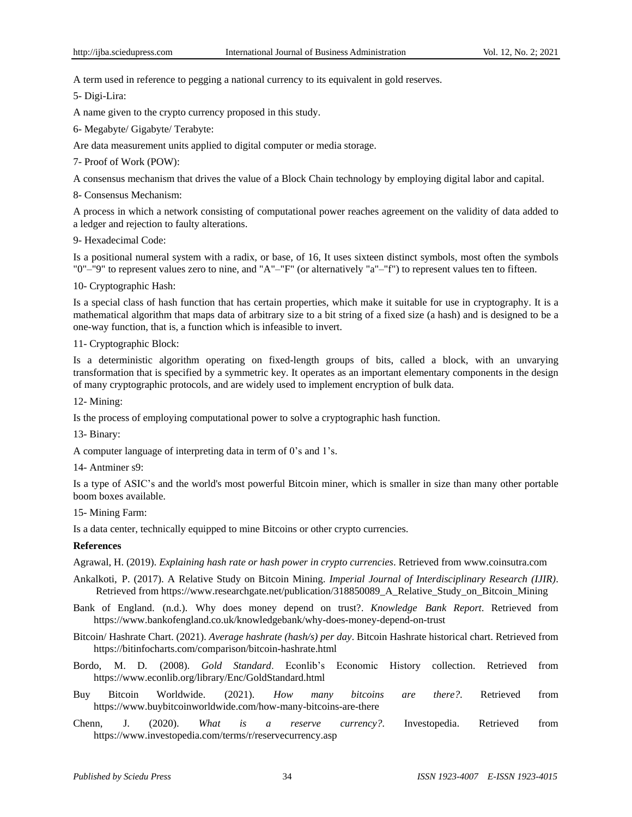A term used in reference to pegging a national currency to its equivalent in gold reserves.

5- Digi-Lira:

A name given to the crypto currency proposed in this study.

6- Megabyte/ Gigabyte/ Terabyte:

Are data measurement units applied to digital computer or media storage.

7- Proof of Work (POW):

A consensus mechanism that drives the value of a Block Chain technology by employing digital labor and capital.

8- Consensus Mechanism:

A process in which a network consisting of computational power reaches agreement on the validity of data added to a ledger and rejection to faulty alterations.

9- Hexadecimal Code:

Is a [positional](https://en.wikipedia.org/wiki/Positional_notation) [numeral](https://en.wikipedia.org/wiki/Numeral_system) system with a [radix,](https://en.wikipedia.org/wiki/Radix) or base, of 16, It uses sixteen distinct symbols, most often the symbols "0"–"9" to represent values [zero](https://en.wikipedia.org/wiki/Zero) to [nine,](https://en.wikipedia.org/wiki/9) and "A"–"F" (or alternatively "a"–"f") to represent values [ten](https://en.wikipedia.org/wiki/10) to [fifteen.](https://en.wikipedia.org/wiki/15_(number))

10- Cryptographic Hash:

Is a special class of hash [function](https://en.wikipedia.org/wiki/Hash_function) that has certain properties, which make it suitable for use in [cryptography.](https://en.wikipedia.org/wiki/Cryptography) It is a mathematical [algorithm](https://en.wikipedia.org/wiki/Algorithm) that [maps](https://en.wikipedia.org/wiki/Map_(mathematics)) data of arbitrary size to a bit [string](https://en.wikipedia.org/wiki/Bit_string) of a fixed size (a hash) and is designed to be a one-way [function,](https://en.wikipedia.org/wiki/One-way_function) that is, a function which is [infeasible](https://en.wikipedia.org/wiki/Computational_complexity_theory#Intractability) to invert.

11- Cryptographic Block:

Is a [deterministic](https://en.wikipedia.org/wiki/Deterministic_algorithm) algorithm operating on fixed-length groups of [bits,](https://en.wikipedia.org/wiki/Bit) called a block, with an unvarying transformation that is specified by a [symmetric](https://en.wikipedia.org/wiki/Symmetric_key) key. It operates as an important elementary [components](https://en.wikipedia.org/wiki/Cryptographic_primitive) in the design of many [cryptographic](https://en.wikipedia.org/wiki/Cryptographic_protocol) protocols, and are widely used to implement [encryption](https://en.wikipedia.org/wiki/Encryption) of bulk data.

12- Mining:

Is the process of employing computational power to solve a cryptographic hash function.

13- Binary:

A computer language of interpreting data in term of 0's and 1's.

14- Antminer s9:

Is a type of ASIC's and the world's most powerful Bitcoin miner, which is smaller in size than many other portable boom boxes available.

15- Mining Farm:

Is a data center, technically equipped to [mine](https://en.bitcoinwiki.org/wiki/Mining) [Bitcoins](https://en.bitcoinwiki.org/wiki/Bitcoin) or other crypto [currencies.](https://en.bitcoinwiki.org/wiki/Cryptocurrency)

## **References**

Agrawal, H. (2019). *Explaining hash rate or hash power in crypto currencies*. Retrieved from [www.coinsutra.com](http://www.coinsutra.com/)

- [Ankalkoti,](https://www.researchgate.net/profile/Prashant_Ankalkoti) P. (2017). A Relative Study on Bitcoin Mining. *[Imperial Journal of Interdisciplinary Research \(IJIR\)](https://www.researchgate.net/journal/2454-1362_Imperial_Journal_of_Interdisciplinary_Research_IJIR)*. Retrieved from https://www.researchgate.net/publication/318850089 A\_Relative\_Study\_on\_Bitcoin\_Mining
- Bank of England. (n.d.). Why does money depend on trust?. *Knowledge Bank Report*. Retrieved from <https://www.bankofengland.co.uk/knowledgebank/why-does-money-depend-on-trust>

Bitcoin/ Hashrate Chart. (2021). *Average hashrate (hash/s) per day*. Bitcoin Hashrate historical chart. Retrieved from <https://bitinfocharts.com/comparison/bitcoin-hashrate.html>

Bordo, M. D. (2008). *Gold Standard*. Econlib's Economic History collection. Retrieved from <https://www.econlib.org/library/Enc/GoldStandard.html>

- Buy Bitcoin Worldwide. (2021). *How many bitcoins are there?*. Retrieved from [https://www.buybitcoinworldwide.com/how-many-bitcoins-are-there](https://www.buybitcoinworldwide.com/how-many-bitcoins-are-there/)
- Chenn, J. (2020). *What is a reserve currency?*. Investopedia. Retrieved from <https://www.investopedia.com/terms/r/reservecurrency.asp>